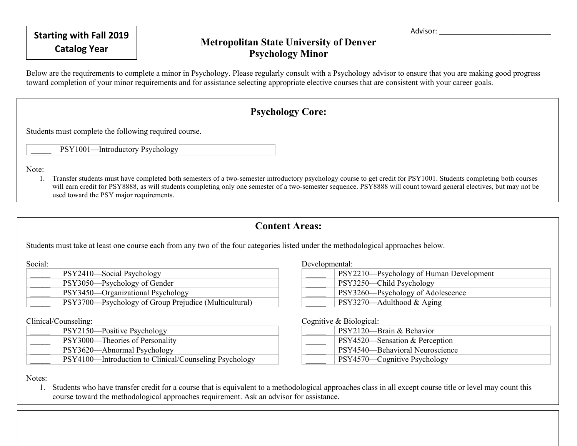**Starting with Fall 2019 Advisor: Advisor: Advisor: Advisor: Advisor: Advisor: Advisor: Advisor: Advisor: Advisor: Advisor: Advisor: Advisor: Advisor: Advisor: Advisor: Advisor: Advisor:** 

## **Catalog Year Metropolitan State University of Denver Psychology Minor**

Below are the requirements to complete a minor in Psychology. Please regularly consult with a Psychology advisor to ensure that you are making good progress toward completion of your minor requirements and for assistance selecting appropriate elective courses that are consistent with your career goals.

## **Psychology Core:**

Students must complete the following required course.

PSY1001—Introductory Psychology

Note:

1. Transfer students must have completed both semesters of a two-semester introductory psychology course to get credit for PSY1001. Students completing both courses will earn credit for PSY8888, as will students completing only one semester of a two-semester sequence. PSY8888 will count toward general electives, but may not be used toward the PSY major requirements.

## **Content Areas:**

Students must take at least one course each from any two of the four categories listed under the methodological approaches below.

Social:

| PSY2410—Social Psychology                             |
|-------------------------------------------------------|
| PSY3050—Psychology of Gender                          |
| PSY3450—Organizational Psychology                     |
| PSY3700—Psychology of Group Prejudice (Multicultural) |
|                                                       |

Clinical/Counseling:

| PSY2150—Positive Psychology                            |
|--------------------------------------------------------|
| PSY3000—Theories of Personality                        |
| PSY3620—Abnormal Psychology                            |
| PSY4100—Introduction to Clinical/Counseling Psychology |

Developmental:

| PSY2210—Psychology of Human Development |
|-----------------------------------------|
| PSY3250—Child Psychology                |
| PSY3260—Psychology of Adolescence       |
| $PSY3270$ —Adulthood & Aging            |

Cognitive  $\&$  Biological:

| $100 - 100$ |                                 |
|-------------|---------------------------------|
|             | PSY2120—Brain & Behavior        |
|             | PSY4520—Sensation & Perception  |
|             | PSY4540-Behavioral Neuroscience |
|             | PSY4570—Cognitive Psychology    |

Notes:

1. Students who have transfer credit for a course that is equivalent to a methodological approaches class in all except course title or level may count this course toward the methodological approaches requirement. Ask an advisor for assistance.